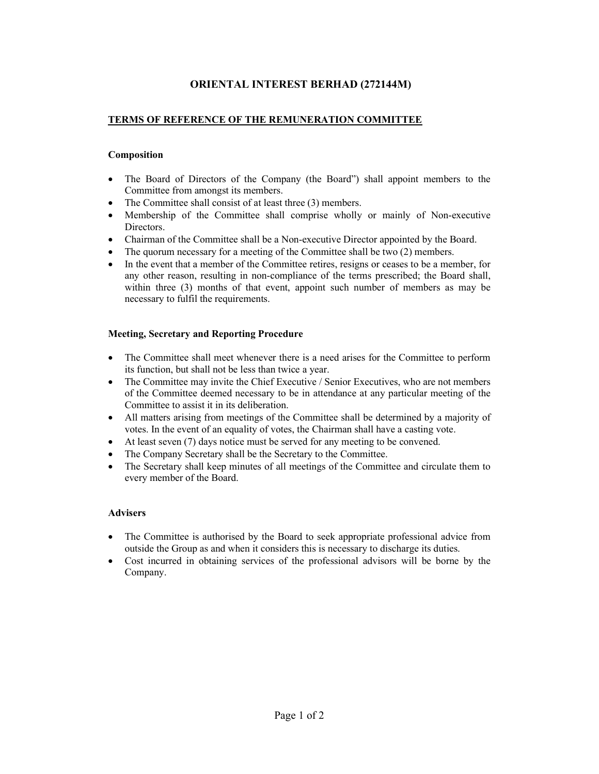# ORIENTAL INTEREST BERHAD (272144M)

### TERMS OF REFERENCE OF THE REMUNERATION COMMITTEE

#### Composition

- The Board of Directors of the Company (the Board") shall appoint members to the Committee from amongst its members.
- The Committee shall consist of at least three (3) members.
- Membership of the Committee shall comprise wholly or mainly of Non-executive Directors.
- Chairman of the Committee shall be a Non-executive Director appointed by the Board.
- The quorum necessary for a meeting of the Committee shall be two (2) members.
- In the event that a member of the Committee retires, resigns or ceases to be a member, for any other reason, resulting in non-compliance of the terms prescribed; the Board shall, within three (3) months of that event, appoint such number of members as may be necessary to fulfil the requirements.

#### Meeting, Secretary and Reporting Procedure

- The Committee shall meet whenever there is a need arises for the Committee to perform its function, but shall not be less than twice a year.
- The Committee may invite the Chief Executive / Senior Executives, who are not members of the Committee deemed necessary to be in attendance at any particular meeting of the Committee to assist it in its deliberation.
- All matters arising from meetings of the Committee shall be determined by a majority of votes. In the event of an equality of votes, the Chairman shall have a casting vote.
- At least seven (7) days notice must be served for any meeting to be convened.
- The Company Secretary shall be the Secretary to the Committee.
- The Secretary shall keep minutes of all meetings of the Committee and circulate them to every member of the Board.

#### Advisers

- The Committee is authorised by the Board to seek appropriate professional advice from outside the Group as and when it considers this is necessary to discharge its duties.
- Cost incurred in obtaining services of the professional advisors will be borne by the Company.